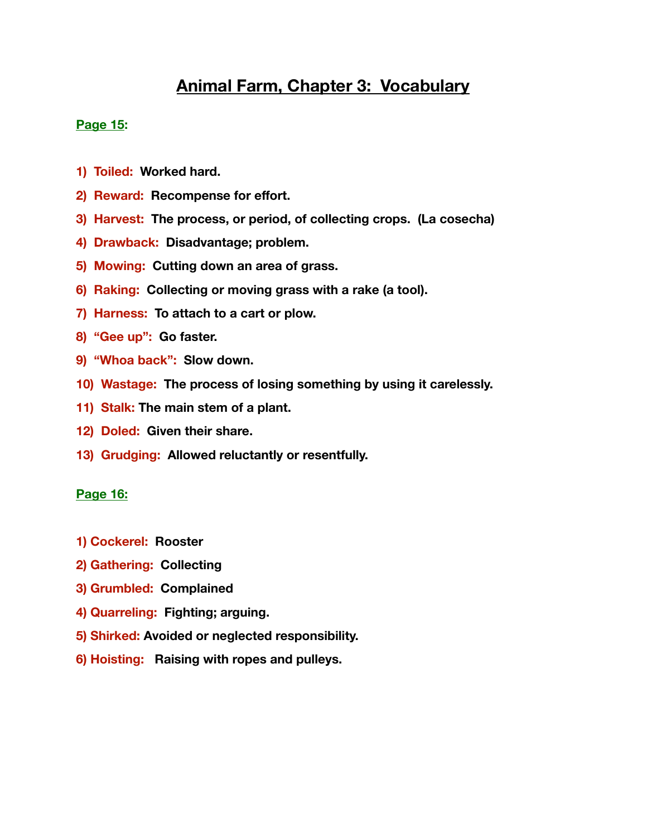# **Animal Farm, Chapter 3: Vocabulary**

## **Page 15:**

- **1) Toiled: Worked hard.**
- **2) Reward: Recompense for effort.**
- **3) Harvest: The process, or period, of collecting crops. (La cosecha)**
- **4) Drawback: Disadvantage; problem.**
- **5) Mowing: Cutting down an area of grass.**
- **6) Raking: Collecting or moving grass with a rake (a tool).**
- **7) Harness: To attach to a cart or plow.**
- **8) "Gee up": Go faster.**
- **9) "Whoa back": Slow down.**
- **10) Wastage: The process of losing something by using it carelessly.**
- **11) Stalk: The main stem of a plant.**
- **12) Doled: Given their share.**
- **13) Grudging: Allowed reluctantly or resentfully.**

### **Page 16:**

- **1) Cockerel: Rooster**
- **2) Gathering: Collecting**
- **3) Grumbled: Complained**
- **4) Quarreling: Fighting; arguing.**
- **5) Shirked: Avoided or neglected responsibility.**
- **6) Hoisting: Raising with ropes and pulleys.**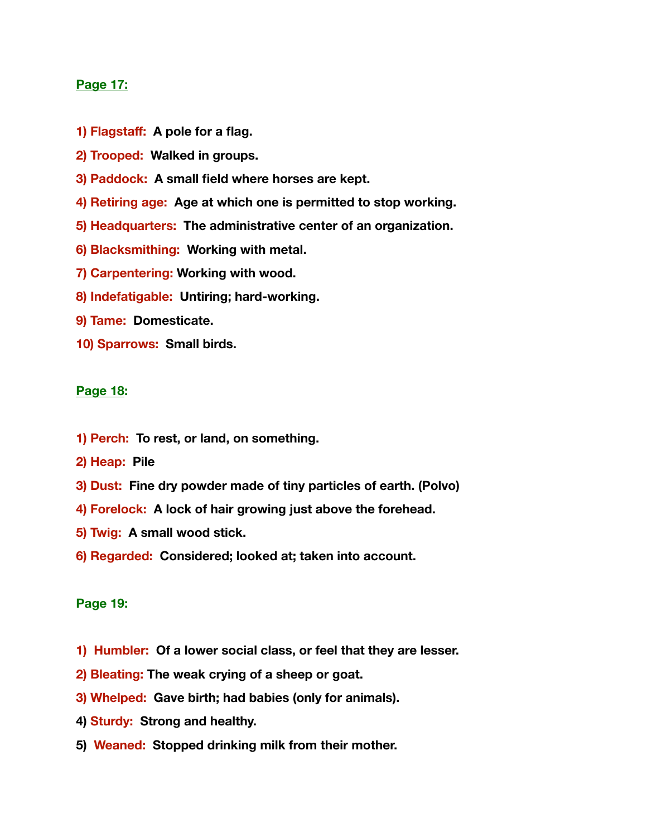#### **Page 17:**

- **1) Flagstaff: A pole for a flag.**
- **2) Trooped: Walked in groups.**
- **3) Paddock: A small field where horses are kept.**
- **4) Retiring age: Age at which one is permitted to stop working.**
- **5) Headquarters: The administrative center of an organization.**
- **6) Blacksmithing: Working with metal.**
- **7) Carpentering: Working with wood.**
- **8) Indefatigable: Untiring; hard-working.**
- **9) Tame: Domesticate.**
- **10) Sparrows: Small birds.**

#### **Page 18:**

- **1) Perch: To rest, or land, on something.**
- **2) Heap: Pile**
- **3) Dust: Fine dry powder made of tiny particles of earth. (Polvo)**
- **4) Forelock: A lock of hair growing just above the forehead.**
- **5) Twig: A small wood stick.**
- **6) Regarded: Considered; looked at; taken into account.**

#### **Page 19:**

- **1) Humbler: Of a lower social class, or feel that they are lesser.**
- **2) Bleating: The weak crying of a sheep or goat.**
- **3) Whelped: Gave birth; had babies (only for animals).**
- **4) Sturdy: Strong and healthy.**
- **5) Weaned: Stopped drinking milk from their mother.**